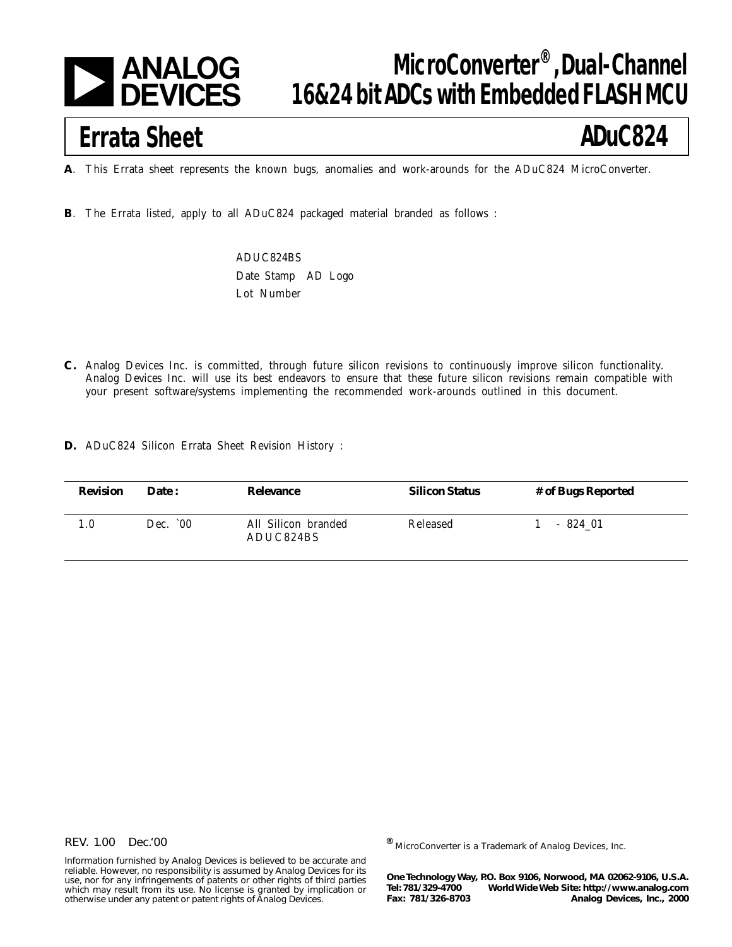

## **MicroConverter®, Dual-Channel 16&24 bit ADCs with Embedded FLASH MCU**

# **Errata Sheet**

## **ADuC824**

**A**. This Errata sheet represents the known bugs, anomalies and work-arounds for the ADuC824 MicroConverter.

**B**. The Errata listed, apply to all ADuC824 packaged material branded as follows :

ADUC824BS Date Stamp AD Logo Lot Number

- **C.** Analog Devices Inc. is committed, through future silicon revisions to continuously improve silicon functionality. Analog Devices Inc. will use its best endeavors to ensure that these future silicon revisions remain compatible with your present software/systems implementing the recommended work-arounds outlined in this document.
- **D.** ADuC824 Silicon Errata Sheet Revision History :

| <b>Revision</b> | Date:     | Relevance                        | <b>Silicon Status</b> | # of Bugs Reported |
|-----------------|-----------|----------------------------------|-----------------------|--------------------|
| 1.0             | Dec. $00$ | All Silicon branded<br>ADUC824BS | Released              | - 824 01           |

#### REV. 1.00 Dec.'00

Information furnished by Analog Devices is believed to be accurate and reliable. However, no responsibility is assumed by Analog Devices for its use, nor for any infringements of patents or other rights of third parties which may result from its use. No license is granted by implication or otherwise under any patent or patent rights of Analog Devices.

**®** MicroConverter is a Trademark of Analog Devices, Inc.

**One Technology Way, P.O. Box 9106, Norwood, MA 02062-9106, U.S.A. Tel: 781/329-4700 World Wide Web Site: http://www.analog.com Fax: 781/326-8703 Analog Devices, Inc., 2000**